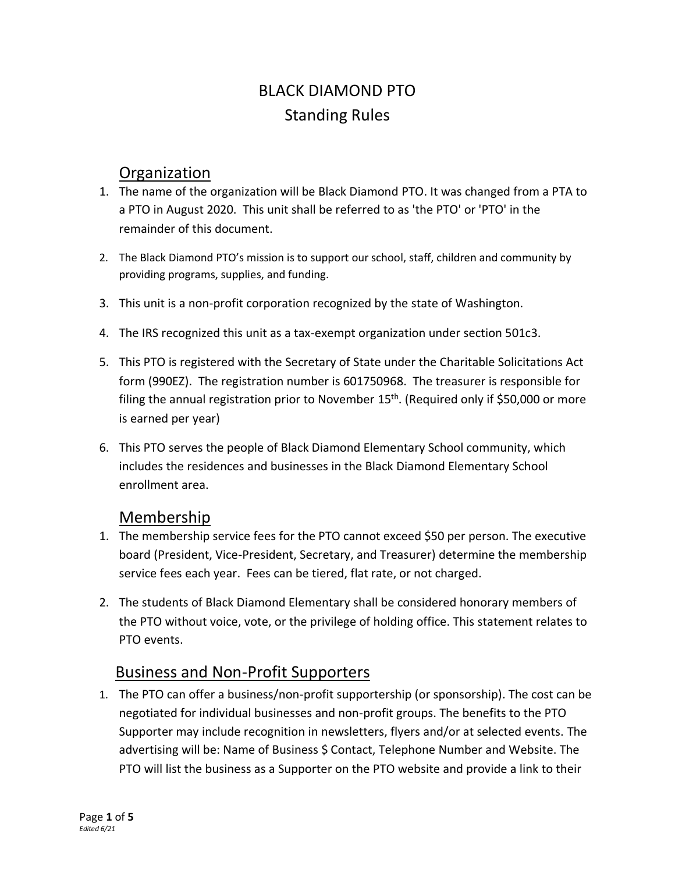# BLACK DIAMOND PTO Standing Rules

#### **Organization**

- 1. The name of the organization will be Black Diamond PTO. It was changed from a PTA to a PTO in August 2020. This unit shall be referred to as 'the PTO' or 'PTO' in the remainder of this document.
- 2. The Black Diamond PTO's mission is to support our school, staff, children and community by providing programs, supplies, and funding.
- 3. This unit is a non-profit corporation recognized by the state of Washington.
- 4. The IRS recognized this unit as a tax-exempt organization under section 501c3.
- 5. This PTO is registered with the Secretary of State under the Charitable Solicitations Act form (990EZ). The registration number is 601750968. The treasurer is responsible for filing the annual registration prior to November  $15<sup>th</sup>$ . (Required only if \$50,000 or more is earned per year)
- 6. This PTO serves the people of Black Diamond Elementary School community, which includes the residences and businesses in the Black Diamond Elementary School enrollment area.

#### Membership

- 1. The membership service fees for the PTO cannot exceed \$50 per person. The executive board (President, Vice-President, Secretary, and Treasurer) determine the membership service fees each year. Fees can be tiered, flat rate, or not charged.
- 2. The students of Black Diamond Elementary shall be considered honorary members of the PTO without voice, vote, or the privilege of holding office. This statement relates to PTO events.

### Business and Non-Profit Supporters

1. The PTO can offer a business/non-profit supportership (or sponsorship). The cost can be negotiated for individual businesses and non-profit groups. The benefits to the PTO Supporter may include recognition in newsletters, flyers and/or at selected events. The advertising will be: Name of Business \$ Contact, Telephone Number and Website. The PTO will list the business as a Supporter on the PTO website and provide a link to their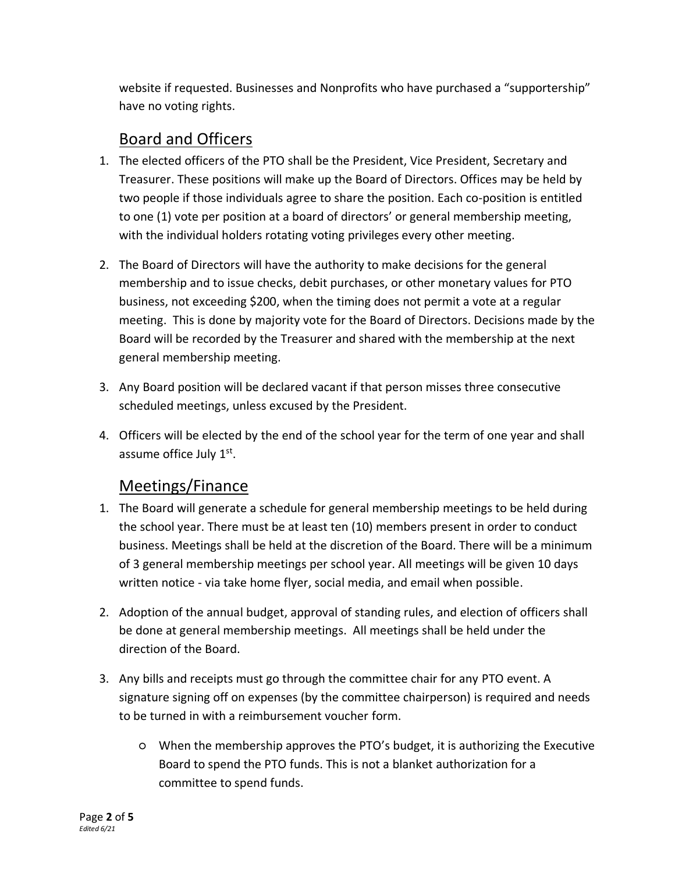website if requested. Businesses and Nonprofits who have purchased a "supportership" have no voting rights.

## Board and Officers

- 1. The elected officers of the PTO shall be the President, Vice President, Secretary and Treasurer. These positions will make up the Board of Directors. Offices may be held by two people if those individuals agree to share the position. Each co-position is entitled to one (1) vote per position at a board of directors' or general membership meeting, with the individual holders rotating voting privileges every other meeting.
- 2. The Board of Directors will have the authority to make decisions for the general membership and to issue checks, debit purchases, or other monetary values for PTO business, not exceeding \$200, when the timing does not permit a vote at a regular meeting. This is done by majority vote for the Board of Directors. Decisions made by the Board will be recorded by the Treasurer and shared with the membership at the next general membership meeting.
- 3. Any Board position will be declared vacant if that person misses three consecutive scheduled meetings, unless excused by the President.
- 4. Officers will be elected by the end of the school year for the term of one year and shall assume office July 1st.

### Meetings/Finance

- 1. The Board will generate a schedule for general membership meetings to be held during the school year. There must be at least ten (10) members present in order to conduct business. Meetings shall be held at the discretion of the Board. There will be a minimum of 3 general membership meetings per school year. All meetings will be given 10 days written notice - via take home flyer, social media, and email when possible.
- 2. Adoption of the annual budget, approval of standing rules, and election of officers shall be done at general membership meetings. All meetings shall be held under the direction of the Board.
- 3. Any bills and receipts must go through the committee chair for any PTO event. A signature signing off on expenses (by the committee chairperson) is required and needs to be turned in with a reimbursement voucher form.
	- When the membership approves the PTO's budget, it is authorizing the Executive Board to spend the PTO funds. This is not a blanket authorization for a committee to spend funds.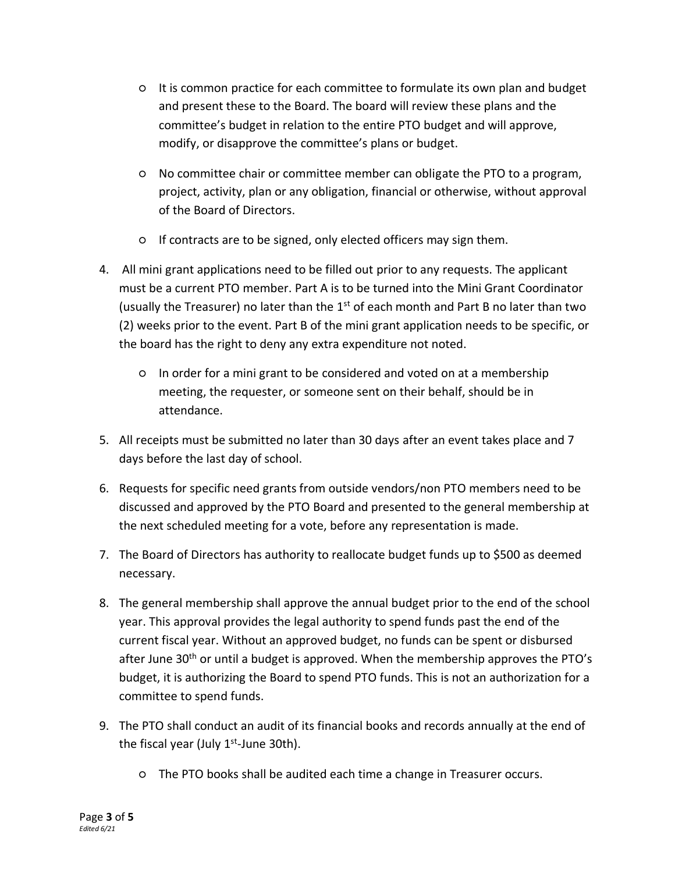- It is common practice for each committee to formulate its own plan and budget and present these to the Board. The board will review these plans and the committee's budget in relation to the entire PTO budget and will approve, modify, or disapprove the committee's plans or budget.
- No committee chair or committee member can obligate the PTO to a program, project, activity, plan or any obligation, financial or otherwise, without approval of the Board of Directors.
- If contracts are to be signed, only elected officers may sign them.
- 4. All mini grant applications need to be filled out prior to any requests. The applicant must be a current PTO member. Part A is to be turned into the Mini Grant Coordinator (usually the Treasurer) no later than the  $1<sup>st</sup>$  of each month and Part B no later than two (2) weeks prior to the event. Part B of the mini grant application needs to be specific, or the board has the right to deny any extra expenditure not noted.
	- In order for a mini grant to be considered and voted on at a membership meeting, the requester, or someone sent on their behalf, should be in attendance.
- 5. All receipts must be submitted no later than 30 days after an event takes place and 7 days before the last day of school.
- 6. Requests for specific need grants from outside vendors/non PTO members need to be discussed and approved by the PTO Board and presented to the general membership at the next scheduled meeting for a vote, before any representation is made.
- 7. The Board of Directors has authority to reallocate budget funds up to \$500 as deemed necessary.
- 8. The general membership shall approve the annual budget prior to the end of the school year. This approval provides the legal authority to spend funds past the end of the current fiscal year. Without an approved budget, no funds can be spent or disbursed after June  $30<sup>th</sup>$  or until a budget is approved. When the membership approves the PTO's budget, it is authorizing the Board to spend PTO funds. This is not an authorization for a committee to spend funds.
- 9. The PTO shall conduct an audit of its financial books and records annually at the end of the fiscal year (July 1<sup>st</sup>-June 30th).
	- The PTO books shall be audited each time a change in Treasurer occurs.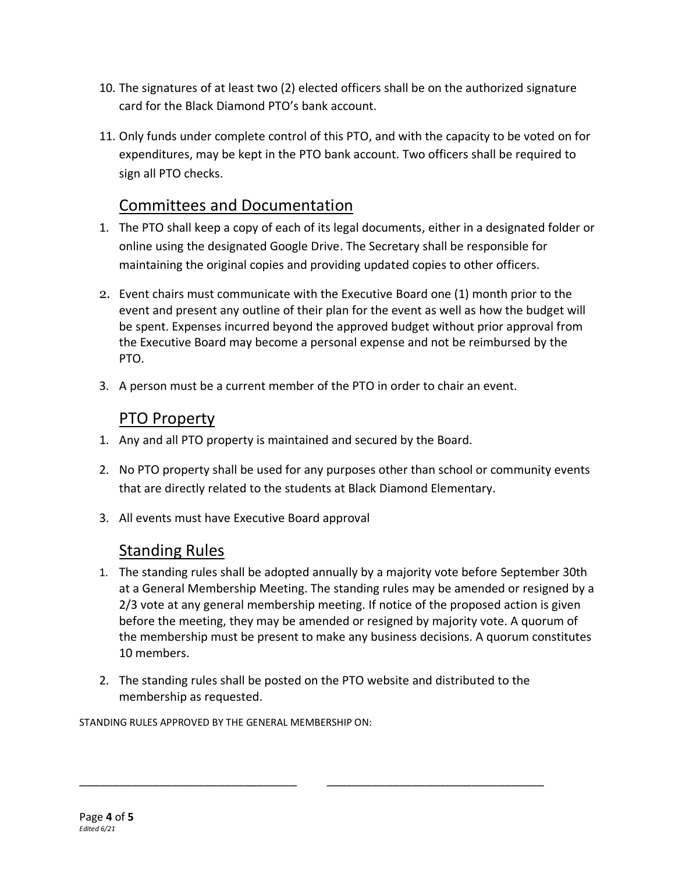- 10. The signatures of at least two (2) elected officers shall be on the authorized signature card for the Black Diamond PTO's bank account.
- 11. Only funds under complete control of this PTO, and with the capacity to be voted on for expenditures, may be kept in the PTO bank account. Two officers shall be required to sign all PTO checks.

# Committees and Documentation

- 1. The PTO shall keep a copy of each of its legal documents, either in a designated folder or online using the designated Google Drive. The Secretary shall be responsible for maintaining the original copies and providing updated copies to other officers.
- 2. Event chairs must communicate with the Executive Board one (1) month prior to the event and present any outline of their plan for the event as well as how the budget will be spent. Expenses incurred beyond the approved budget without prior approval from the Executive Board may become a personal expense and not be reimbursed by the PTO.
- 3. A person must be a current member of the PTO in order to chair an event.

#### PTO Property

- 1. Any and all PTO property is maintained and secured by the Board.
- 2. No PTO property shall be used for any purposes other than school or community events that are directly related to the students at Black Diamond Elementary.
- 3. All events must have Executive Board approval

### Standing Rules

- 1. The standing rules shall be adopted annually by a majority vote before September 30th at a General Membership Meeting. The standing rules may be amended or resigned by a 2/3 vote at any general membership meeting. If notice of the proposed action is given before the meeting, they may be amended or resigned by majority vote. A quorum of the membership must be present to make any business decisions. A quorum constitutes 10 members.
- 2. The standing rules shall be posted on the PTO website and distributed to the membership as requested.

\_\_\_\_\_\_\_\_\_\_\_\_\_\_\_\_\_\_\_\_\_\_\_\_\_\_\_\_\_\_\_\_\_ \_\_\_\_\_\_\_\_\_\_\_\_\_\_\_\_\_\_\_\_\_\_\_\_\_\_\_\_\_\_\_\_\_

STANDING RULES APPROVED BY THE GENERAL MEMBERSHIP ON: